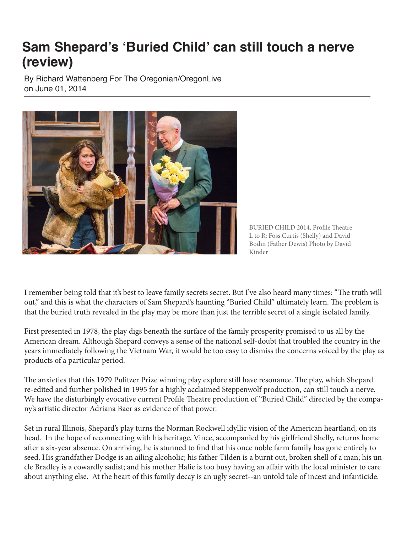## **Sam Shepard's 'Buried Child' can still touch a nerve (review)**

By Richard Wattenberg For The Oregonian/OregonLive on June 01, 2014



BURIED CHILD 2014, Profile Theatre L to R: Foss Curtis (Shelly) and David Bodin (Father Dewis) Photo by David Kinder

I remember being told that it's best to leave family secrets secret. But I've also heard many times: "The truth will out," and this is what the characters of Sam Shepard's haunting "Buried Child" ultimately learn. The problem is that the buried truth revealed in the play may be more than just the terrible secret of a single isolated family.

First presented in 1978, the play digs beneath the surface of the family prosperity promised to us all by the American dream. Although Shepard conveys a sense of the national self-doubt that troubled the country in the years immediately following the Vietnam War, it would be too easy to dismiss the concerns voiced by the play as products of a particular period.

The anxieties that this 1979 Pulitzer Prize winning play explore still have resonance. The play, which Shepard re-edited and further polished in 1995 for a highly acclaimed Steppenwolf production, can still touch a nerve. We have the disturbingly evocative current Profile Theatre production of "Buried Child" directed by the company's artistic director Adriana Baer as evidence of that power.

Set in rural Illinois, Shepard's play turns the Norman Rockwell idyllic vision of the American heartland, on its head. In the hope of reconnecting with his heritage, Vince, accompanied by his girlfriend Shelly, returns home after a six-year absence. On arriving, he is stunned to find that his once noble farm family has gone entirely to seed. His grandfather Dodge is an ailing alcoholic; his father Tilden is a burnt out, broken shell of a man; his uncle Bradley is a cowardly sadist; and his mother Halie is too busy having an affair with the local minister to care about anything else. At the heart of this family decay is an ugly secret--an untold tale of incest and infanticide.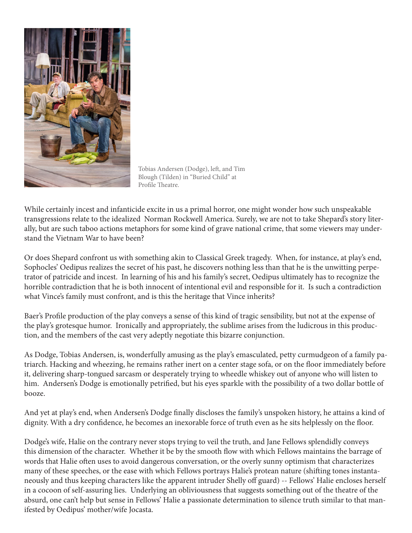

Tobias Andersen (Dodge), left, and Tim Blough (Tilden) in "Buried Child" at Profile Theatre.

While certainly incest and infanticide excite in us a primal horror, one might wonder how such unspeakable transgressions relate to the idealized Norman Rockwell America. Surely, we are not to take Shepard's story literally, but are such taboo actions metaphors for some kind of grave national crime, that some viewers may understand the Vietnam War to have been?

Or does Shepard confront us with something akin to Classical Greek tragedy. When, for instance, at play's end, Sophocles' Oedipus realizes the secret of his past, he discovers nothing less than that he is the unwitting perpetrator of patricide and incest. In learning of his and his family's secret, Oedipus ultimately has to recognize the horrible contradiction that he is both innocent of intentional evil and responsible for it. Is such a contradiction what Vince's family must confront, and is this the heritage that Vince inherits?

Baer's Profile production of the play conveys a sense of this kind of tragic sensibility, but not at the expense of the play's grotesque humor. Ironically and appropriately, the sublime arises from the ludicrous in this production, and the members of the cast very adeptly negotiate this bizarre conjunction.

As Dodge, Tobias Andersen, is, wonderfully amusing as the play's emasculated, petty curmudgeon of a family patriarch. Hacking and wheezing, he remains rather inert on a center stage sofa, or on the floor immediately before it, delivering sharp-tongued sarcasm or desperately trying to wheedle whiskey out of anyone who will listen to him. Andersen's Dodge is emotionally petrified, but his eyes sparkle with the possibility of a two dollar bottle of booze.

And yet at play's end, when Andersen's Dodge finally discloses the family's unspoken history, he attains a kind of dignity. With a dry confidence, he becomes an inexorable force of truth even as he sits helplessly on the floor.

Dodge's wife, Halie on the contrary never stops trying to veil the truth, and Jane Fellows splendidly conveys this dimension of the character. Whether it be by the smooth flow with which Fellows maintains the barrage of words that Halie often uses to avoid dangerous conversation, or the overly sunny optimism that characterizes many of these speeches, or the ease with which Fellows portrays Halie's protean nature (shifting tones instantaneously and thus keeping characters like the apparent intruder Shelly off guard) -- Fellows' Halie encloses herself in a cocoon of self-assuring lies. Underlying an obliviousness that suggests something out of the theatre of the absurd, one can't help but sense in Fellows' Halie a passionate determination to silence truth similar to that manifested by Oedipus' mother/wife Jocasta.